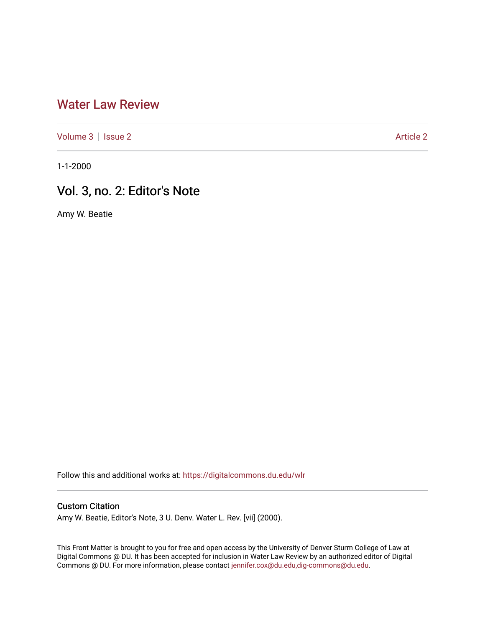## [Water Law Review](https://digitalcommons.du.edu/wlr)

[Volume 3](https://digitalcommons.du.edu/wlr/vol3) | [Issue 2](https://digitalcommons.du.edu/wlr/vol3/iss2) [Article 2](https://digitalcommons.du.edu/wlr/vol3/iss2/2) Article 2

1-1-2000

## Vol. 3, no. 2: Editor's Note

Amy W. Beatie

Follow this and additional works at: [https://digitalcommons.du.edu/wlr](https://digitalcommons.du.edu/wlr?utm_source=digitalcommons.du.edu%2Fwlr%2Fvol3%2Fiss2%2F2&utm_medium=PDF&utm_campaign=PDFCoverPages) 

## Custom Citation

Amy W. Beatie, Editor's Note, 3 U. Denv. Water L. Rev. [vii] (2000).

This Front Matter is brought to you for free and open access by the University of Denver Sturm College of Law at Digital Commons @ DU. It has been accepted for inclusion in Water Law Review by an authorized editor of Digital Commons @ DU. For more information, please contact [jennifer.cox@du.edu,dig-commons@du.edu.](mailto:jennifer.cox@du.edu,dig-commons@du.edu)